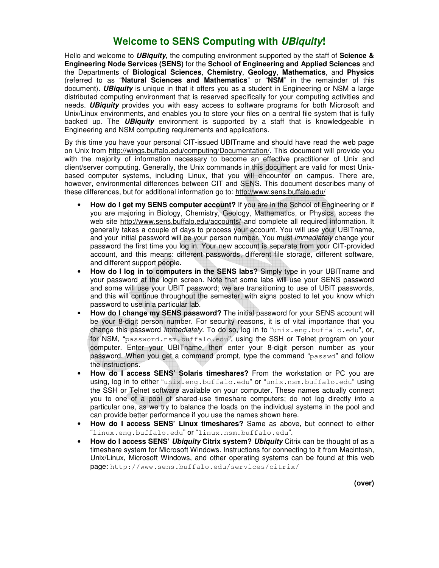# **Welcome to SENS Computing with UBiquity!**

Hello and welcome to **UBiquity**, the computing environment supported by the staff of **Science & Engineering Node Services (SENS)** for the **School of Engineering and Applied Sciences** and the Departments of **Biological Sciences**, **Chemistry**, **Geology**, **Mathematics**, and **Physics** (referred to as "**Natural Sciences and Mathematics**" or "**NSM**" in the remainder of this document). **UBiquity** is unique in that it offers you as a student in Engineering or NSM a large distributed computing environment that is reserved specifically for your computing activities and needs. **UBiquity** provides you with easy access to software programs for both Microsoft and Unix/Linux environments, and enables you to store your files on a central file system that is fully backed up. The **UBiquity** environment is supported by a staff that is knowledgeable in Engineering and NSM computing requirements and applications.

By this time you have your personal CIT-issued UBITname and should have read the web page on Unix from http://wings.buffalo.edu/computing/Documentation/. This document will provide you with the majority of information necessary to become an effective practitioner of Unix and client/server computing. Generally, the Unix commands in this document are valid for most Unixbased computer systems, including Linux, that you will encounter on campus. There are, however, environmental differences between CIT and SENS. This document describes many of these differences, but for additional information go to: http://www.sens.buffalo.edu/

- **How do I get my SENS computer account?** If you are in the School of Engineering or if you are majoring in Biology, Chemistry, Geology, Mathematics, or Physics, access the web site http://www.sens.buffalo.edu/accounts/ and complete all required information. It generally takes a couple of days to process your account. You will use your UBITname, and your initial password will be your person number. You must immediately change your password the first time you log in. Your new account is separate from your CIT-provided account, and this means: different passwords, different file storage, different software, and different support people.
- **How do I log in to computers in the SENS labs?** Simply type in your UBITname and your password at the login screen. Note that some labs will use your SENS password and some will use your UBIT password; we are transitioning to use of UBIT passwords, and this will continue throughout the semester, with signs posted to let you know which password to use in a particular lab.
- **How do I change my SENS password?** The initial password for your SENS account will be your 8-digit person number. For security reasons, it is of vital importance that you change this password *immediately*. To do so, log in to "unix.eng.buffalo.edu", or, for NSM, "password.nsm.buffalo.edu", using the SSH or Telnet program on your computer. Enter your UBITname, then enter your 8-digit person number as your password. When you get a command prompt, type the command "passwd" and follow the instructions.
- **How do I access SENS' Solaris timeshares?** From the workstation or PC you are using, log in to either "unix.eng.buffalo.edu" or "unix.nsm.buffalo.edu" using the SSH or Telnet software available on your computer. These names actually connect you to one of a pool of shared-use timeshare computers; do not log directly into a particular one, as we try to balance the loads on the individual systems in the pool and can provide better performance if you use the names shown here.
- **How do I access SENS' Linux timeshares?** Same as above, but connect to either "linux.eng.buffalo.edu" or "linux.nsm.buffalo.edu".
- **How do I access SENS' Ubiquity Citrix system? Ubiquity** Citrix can be thought of as a timeshare system for Microsoft Windows. Instructions for connecting to it from Macintosh, Unix/Linux, Microsoft Windows, and other operating systems can be found at this web page: http://www.sens.buffalo.edu/services/citrix/

 **(over)**